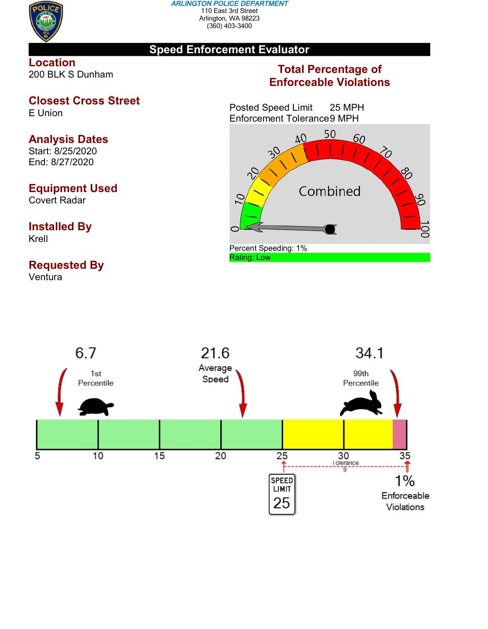

#### *ARLINGTON POLICE DEPARTMENT* 110 East 3rd Street Arlington, WA 98223 (360) 403-3400

### **Speed Enforcement Evaluator**

### **Location** 200 BLK S Dunham

# **Closest Cross Street**

E Union

# **Analysis Dates**

Start: 8/25/2020 End: 8/27/2020

# **Equipment Used**

Covert Radar

### **Installed By** Krell

# **Requested By**

Ventura

## **Total Percentage of Enforceable Violations**

Posted Speed Limit 25 MPH Enforcement Tolerance9 MPH